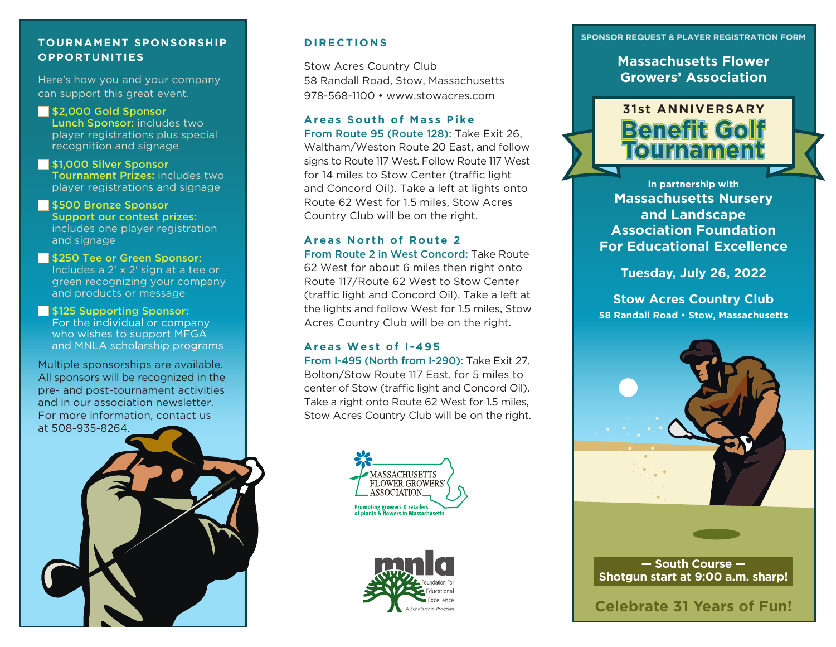#### **TOURNAMENT SPONSORSHIP OPPORTUNITIES**

Here's how you and your company can support this great event.

S2,000 Gold Sponsor Lunch Sponsor: includes two player registrations plus special recognition and signage

**S1,000 Silver Sponsor** Tournament Prizes: includes two player registrations and signage

**S500 Bronze Sponsor** Support our contest prizes: includes one player registration and signage

**S250 Tee or Green Sponsor:** Includes a 2' x 2' sign at a tee or green recognizing your company and products or message

**S125 Supporting Sponsor:** For the individual or company who wishes to support MFGA and MNLA scholarship programs

Multiple sponsorships are available. All sponsors will be recognized in the pre- and post-tournament activities and in our association newsletter. For more information, contact us at 508-935-8264.

**DIRECTIONS** 

Stow Acres Country Club 58 Randall Road, Stow, Massachusetts 978-568-1100 • www.stowacres.com

#### **Areas South of Mass Pike**

From Route 95 (Route 128): Take Exit 26, Waltham/Weston Route 20 East, and follow signs to Route 117 West. Follow Route 117 West for 14 miles to Stow Center (traffic light and Concord Oil). Take a left at lights onto Route 62 West for 1.5 miles, Stow Acres Country Club will be on the right.

#### **Areas North of Route 2**

From Route 2 in West Concord: Take Route 62 West for about 6 miles then right onto Route 117/Route 62 West to Stow Center (traffic light and Concord Oil). Take a left at the lights and follow West for 1.5 miles, Stow Acres Country Club will be on the right.

## **Areas West of I-495**

From I-495 (North from I-290): Take Exit 27, Bolton/Stow Route 117 East, for 5 miles to center of Stow (traffic light and Concord Oil). Take a right onto Route 62 West for 1.5 miles, Stow Acres Country Club will be on the right.





#### **SPONSOR REQUEST & PLAYER REGISTRATION FORM**

**Massachusetts Flower Growers' Association** 



**in partnership with Massachusetts Nursery and Landscape Association Foundation For Educational Excellence** 

**Tuesday, July 26, 2022** 

**Stow Acres Country Club 58 Randall Road • Stow, Massachusetts**



**— South Course — Shotgun start at 9:00 a.m. sharp!** 

## **Celebrate 31 Years of Fun!**